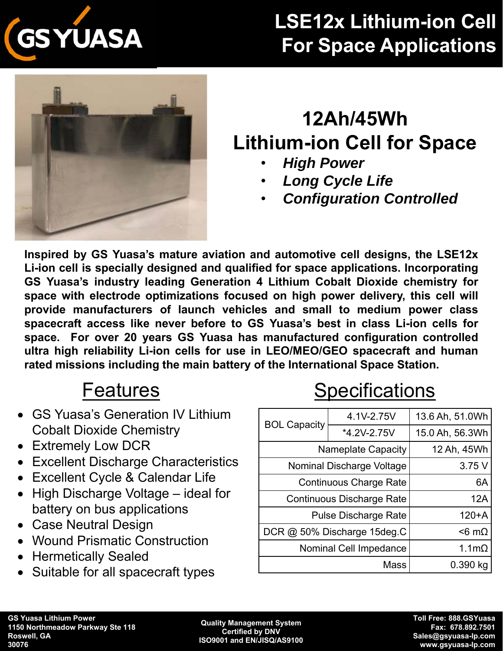

# **LSE12x Lithium-ion Cell For Space Applications**



# **12Ah/45Wh Lithium-ion Cell for Space**

- *High Power*
- *Long Cycle Life*
- *Configuration Controlled*

**Inspired by GS Yuasa's mature aviation and automotive cell designs, the LSE12x Li-ion cell is specially designed and qualified for space applications. Incorporating GS Yuasa's industry leading Generation 4 Lithium Cobalt Dioxide chemistry for space with electrode optimizations focused on high power delivery, this cell will provide manufacturers of launch vehicles and small to medium power class spacecraft access like never before to GS Yuasa's best in class Li-ion cells for space. For over 20 years GS Yuasa has manufactured configuration controlled ultra high reliability Li-ion cells for use in LEO/MEO/GEO spacecraft and human rated missions including the main battery of the International Space Station.**

### **Features**

- GS Yuasa's Generation IV Lithium Cobalt Dioxide Chemistry
- Extremely Low DCR
- Excellent Discharge Characteristics
- Excellent Cycle & Calendar Life
- High Discharge Voltage ideal for battery on bus applications
- Case Neutral Design
- Wound Prismatic Construction
- Hermetically Sealed
- Suitable for all spacecraft types

# **Specifications**

| <b>BOL Capacity</b>              | 4.1V-2.75V             | 13.6 Ah, 51.0Wh  |
|----------------------------------|------------------------|------------------|
|                                  | *4.2V-2.75V            | 15.0 Ah, 56.3Wh  |
| <b>Nameplate Capacity</b>        |                        | 12 Ah, 45Wh      |
| Nominal Discharge Voltage        | 3.75V                  |                  |
| <b>Continuous Charge Rate</b>    | 6A                     |                  |
| <b>Continuous Discharge Rate</b> | 12A                    |                  |
| <b>Pulse Discharge Rate</b>      | $120+A$                |                  |
| DCR @ 50% Discharge 15deg.C      |                        | $<$ 6 m $\Omega$ |
|                                  | Nominal Cell Impedance | 1.1 $m\Omega$    |
| Mass                             |                        | $0.390$ kg       |

**Quality Management System Certified by DNV ISO9001 and EN/JISQ/AS9100**